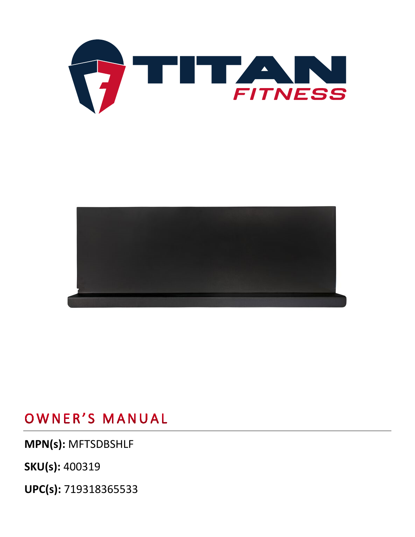



## OWNER'S MANUAL

**MPN(s):** MFTSDBSHLF

**SKU(s):** 400319

**UPC(s):** 719318365533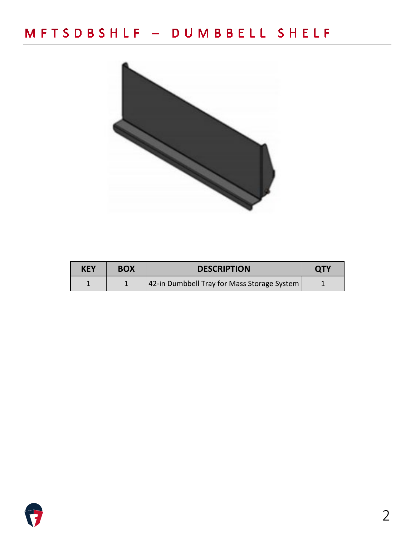## MFTSDBSHLF - DUMBBELL SHELF



| KEY | <b>BOX</b> | <b>DESCRIPTION</b>                          |  |
|-----|------------|---------------------------------------------|--|
|     |            | 42-in Dumbbell Tray for Mass Storage System |  |